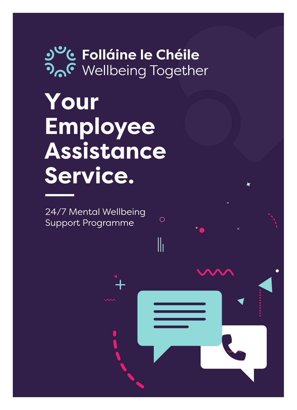# '**& Folláine le Chéile<br>,<sup>C</sup> Wellbeing Together**

 $\bigcirc$ 

 $\|$ 

Your Employee Assistance Service.

24/7 Mental Wellbeing Support Programme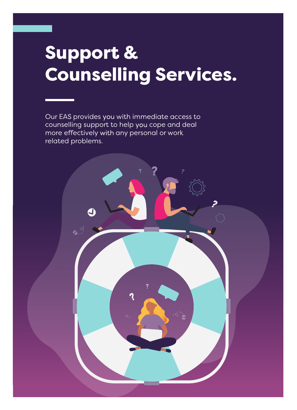# Support & Counselling Services.

Our EAS provides you with immediate access to counselling support to help you cope and deal more effectively with any personal or work related problems.

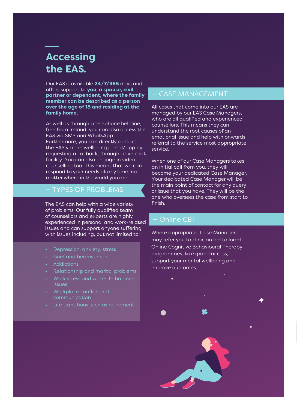# **Accessing** the EAS.

Our EAS is available 24/7/365 days and offers support to **you**, a spouse, civil partner or dependent, where the family member can be described as a person over the age of 18 and residing at the family home.

As well as through a telephone helpline, free from Ireland, you can also access the EAS via SMS and WhatsApp. Furthermore, you can directly contact the EAS via the wellbeing portal/app by requesting a callback, through a live chat facility. You can also engage in video counselling too. This means that we can respond to your needs at any time, no matter where in the world you are.

#### — TYPES OF PROBLEMS

The EAS can help with a wide variety of problems. Our fully qualified team of counsellors and experts are highly experienced in personal and work-related issues and can support anyone suffering with issues including, but not limited to:

- Depression, anxiety, stress
- Grief and bereavement
- Addictions
- Relationship and marital problems
- Work stress and work-life balance issues
- Workplace conflict and communication
- Life transitions such as retirement

#### — CASE MANAGEMENT

All cases that come into our EAS are managed by our EAS Case Managers, who are all qualified and experienced counsellors. This means they can understand the root causes of an emotional issue and help with onwards referral to the service most appropriate service.

When one of our Case Managers takes an initial call from you, they will become your dedicated Case Manager. Your dedicated Case Manager will be the main point of contact for any query or issue that you have. They will be the one who oversees the case from start to finish.

#### - Online CBT

Where appropriate, Case Managers may refer you to clinician led tailored **Online Cognitive Behavioural Therapy** programmes, to expand access, support your mental wellbeing and improve outcomes.

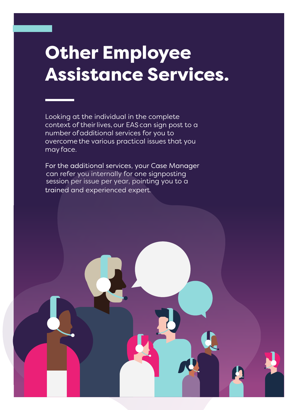# Other Employee Assistance Services.

Looking at the individual in the complete context of their lives, our EAS can sign post to a number of additional services for you to overcome the various practical issues that you may face.

For the additional services, your Case Manager can refer you internally for one signposting session per issue per year, pointing you to atrained and experienced expert.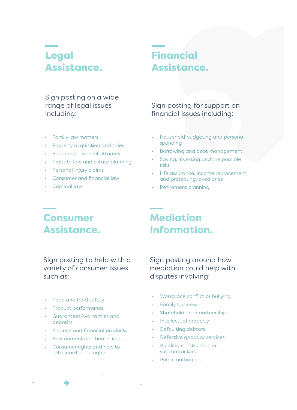# Legal Assistance.

## Financial Assistance.

#### Sign posting on a wide range of legal issues including:

- Family law matters
- Property acquisition and sales
- Enduring powers of attorney
- Probate law and estate planning
- Personal injury claims
- Consumer and financial law
- Criminal law

#### Sign posting for support on financial issues including:

- Household budgeting and personal spending
- Borrowing and debt management
- Saving, investing and the possible risks
- Life assurance, income replacement and protecting loved ones
- Retirement planning

### Consumer Assistance.

Sign posting to help with a variety of consumer issues such as:

- Food and food safety
- Product performance
- Guarantees/warranties and deposits
- Finance and financial products
- Environment and health issues
- Consumer rights and how to safeguard these rights.

# Mediation Information.

Sign posting around how mediation could help with disputes involving:

- Workplace conflict or bullying
- **Family business**
- Shareholders or partnership
- Intellectual property
- Defaulting debtors
- Defective goods or services
- Building construction or subcontractors
- Public authorities

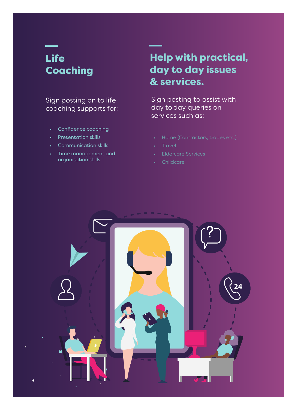# Life Coaching

#### Sign posting on to life coaching supports for:

- Confidence coaching
- Presentation skills
- Communication skills
- Time management and organisation skills

## Help with practical, day to day issues & services.

Sign posting to assist with day to day queries on services such as:

- 
- **Travel**
- Eldercare Services
- **Childcare**